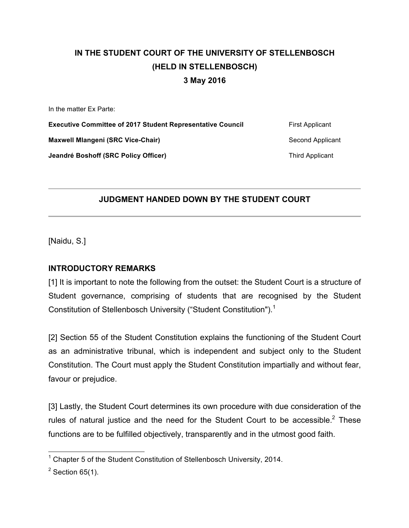# **IN THE STUDENT COURT OF THE UNIVERSITY OF STELLENBOSCH (HELD IN STELLENBOSCH) 3 May 2016**

In the matter Ex Parte:

**Executive Committee of 2017 Student Representative Council First Applicant Maxwell Mlangeni (SRC Vice-Chair)** Second Applicant Second Applicant **Jeandré Boshoff (SRC Policy Officer)** Third Applicant

## **JUDGMENT HANDED DOWN BY THE STUDENT COURT**

[Naidu, S.]

### **INTRODUCTORY REMARKS**

[1] It is important to note the following from the outset: the Student Court is a structure of Student governance, comprising of students that are recognised by the Student Constitution of Stellenbosch University ("Student Constitution"). 1

[2] Section 55 of the Student Constitution explains the functioning of the Student Court as an administrative tribunal, which is independent and subject only to the Student Constitution. The Court must apply the Student Constitution impartially and without fear, favour or prejudice.

[3] Lastly, the Student Court determines its own procedure with due consideration of the rules of natural justice and the need for the Student Court to be accessible. $2$  These functions are to be fulfilled objectively, transparently and in the utmost good faith.

<sup>&</sup>lt;sup>1</sup> Chapter 5 of the Student Constitution of Stellenbosch University, 2014.

 $2$  Section 65(1).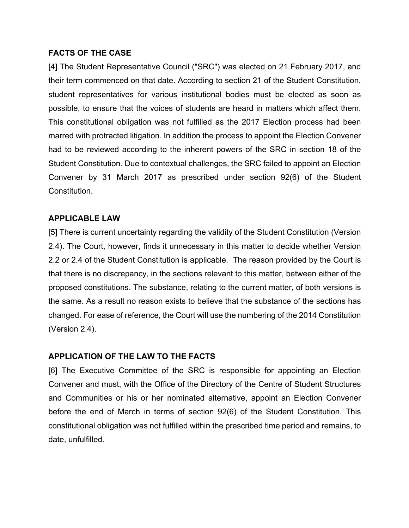#### **FACTS OF THE CASE**

[4] The Student Representative Council ("SRC") was elected on 21 February 2017, and their term commenced on that date. According to section 21 of the Student Constitution, student representatives for various institutional bodies must be elected as soon as possible, to ensure that the voices of students are heard in matters which affect them. This constitutional obligation was not fulfilled as the 2017 Election process had been marred with protracted litigation. In addition the process to appoint the Election Convener had to be reviewed according to the inherent powers of the SRC in section 18 of the Student Constitution. Due to contextual challenges, the SRC failed to appoint an Election Convener by 31 March 2017 as prescribed under section 92(6) of the Student Constitution.

#### **APPLICABLE LAW**

[5] There is current uncertainty regarding the validity of the Student Constitution (Version 2.4). The Court, however, finds it unnecessary in this matter to decide whether Version 2.2 or 2.4 of the Student Constitution is applicable. The reason provided by the Court is that there is no discrepancy, in the sections relevant to this matter, between either of the proposed constitutions. The substance, relating to the current matter, of both versions is the same. As a result no reason exists to believe that the substance of the sections has changed. For ease of reference, the Court will use the numbering of the 2014 Constitution (Version 2.4).

#### **APPLICATION OF THE LAW TO THE FACTS**

[6] The Executive Committee of the SRC is responsible for appointing an Election Convener and must, with the Office of the Directory of the Centre of Student Structures and Communities or his or her nominated alternative, appoint an Election Convener before the end of March in terms of section 92(6) of the Student Constitution. This constitutional obligation was not fulfilled within the prescribed time period and remains, to date, unfulfilled.